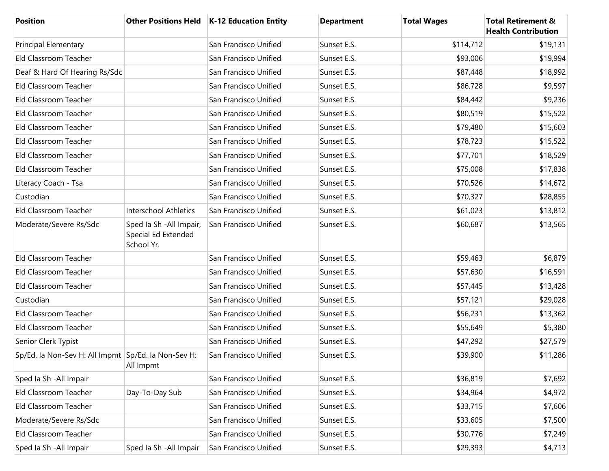| <b>Position</b>                                     |                                                               | Other Positions Held   K-12 Education Entity | <b>Department</b> | <b>Total Wages</b> | <b>Total Retirement &amp;</b><br><b>Health Contribution</b> |
|-----------------------------------------------------|---------------------------------------------------------------|----------------------------------------------|-------------------|--------------------|-------------------------------------------------------------|
| <b>Principal Elementary</b>                         |                                                               | San Francisco Unified                        | Sunset E.S.       | \$114,712          | \$19,131                                                    |
| Eld Classroom Teacher                               |                                                               | San Francisco Unified                        | Sunset E.S.       | \$93,006           | \$19,994                                                    |
| Deaf & Hard Of Hearing Rs/Sdc                       |                                                               | San Francisco Unified                        | Sunset E.S.       | \$87,448           | \$18,992                                                    |
| Eld Classroom Teacher                               |                                                               | San Francisco Unified                        | Sunset E.S.       | \$86,728           | \$9,597                                                     |
| Eld Classroom Teacher                               |                                                               | San Francisco Unified                        | Sunset E.S.       | \$84,442           | \$9,236                                                     |
| Eld Classroom Teacher                               |                                                               | San Francisco Unified                        | Sunset E.S.       | \$80,519           | \$15,522                                                    |
| Eld Classroom Teacher                               |                                                               | San Francisco Unified                        | Sunset E.S.       | \$79,480           | \$15,603                                                    |
| Eld Classroom Teacher                               |                                                               | San Francisco Unified                        | Sunset E.S.       | \$78,723           | \$15,522                                                    |
| Eld Classroom Teacher                               |                                                               | San Francisco Unified                        | Sunset E.S.       | \$77,701           | \$18,529                                                    |
| Eld Classroom Teacher                               |                                                               | San Francisco Unified                        | Sunset E.S.       | \$75,008           | \$17,838                                                    |
| Literacy Coach - Tsa                                |                                                               | San Francisco Unified                        | Sunset E.S.       | \$70,526           | \$14,672                                                    |
| Custodian                                           |                                                               | San Francisco Unified                        | Sunset E.S.       | \$70,327           | \$28,855                                                    |
| Eld Classroom Teacher                               | <b>Interschool Athletics</b>                                  | San Francisco Unified                        | Sunset E.S.       | \$61,023           | \$13,812                                                    |
| Moderate/Severe Rs/Sdc                              | Sped Ia Sh - All Impair,<br>Special Ed Extended<br>School Yr. | San Francisco Unified                        | Sunset E.S.       | \$60,687           | \$13,565                                                    |
| Eld Classroom Teacher                               |                                                               | San Francisco Unified                        | Sunset E.S.       | \$59,463           | \$6,879                                                     |
| Eld Classroom Teacher                               |                                                               | San Francisco Unified                        | Sunset E.S.       | \$57,630           | \$16,591                                                    |
| Eld Classroom Teacher                               |                                                               | San Francisco Unified                        | Sunset E.S.       | \$57,445           | \$13,428                                                    |
| Custodian                                           |                                                               | San Francisco Unified                        | Sunset E.S.       | \$57,121           | \$29,028                                                    |
| Eld Classroom Teacher                               |                                                               | San Francisco Unified                        | Sunset E.S.       | \$56,231           | \$13,362                                                    |
| Eld Classroom Teacher                               |                                                               | San Francisco Unified                        | Sunset E.S.       | \$55,649           | \$5,380                                                     |
| Senior Clerk Typist                                 |                                                               | San Francisco Unified                        | Sunset E.S.       | \$47,292           | \$27,579                                                    |
| Sp/Ed. la Non-Sev H: All Impmt Sp/Ed. la Non-Sev H: | All Impmt                                                     | San Francisco Unified                        | Sunset E.S.       | \$39,900           | \$11,286                                                    |
| Sped Ia Sh - All Impair                             |                                                               | San Francisco Unified                        | Sunset E.S.       | \$36,819           | \$7,692                                                     |
| Eld Classroom Teacher                               | Day-To-Day Sub                                                | San Francisco Unified                        | Sunset E.S.       | \$34,964           | \$4,972                                                     |
| Eld Classroom Teacher                               |                                                               | San Francisco Unified                        | Sunset E.S.       | \$33,715           | \$7,606                                                     |
| Moderate/Severe Rs/Sdc                              |                                                               | San Francisco Unified                        | Sunset E.S.       | \$33,605           | \$7,500                                                     |
| Eld Classroom Teacher                               |                                                               | San Francisco Unified                        | Sunset E.S.       | \$30,776           | \$7,249                                                     |
| Sped Ia Sh - All Impair                             | Sped Ia Sh - All Impair                                       | San Francisco Unified                        | Sunset E.S.       | \$29,393           | \$4,713                                                     |